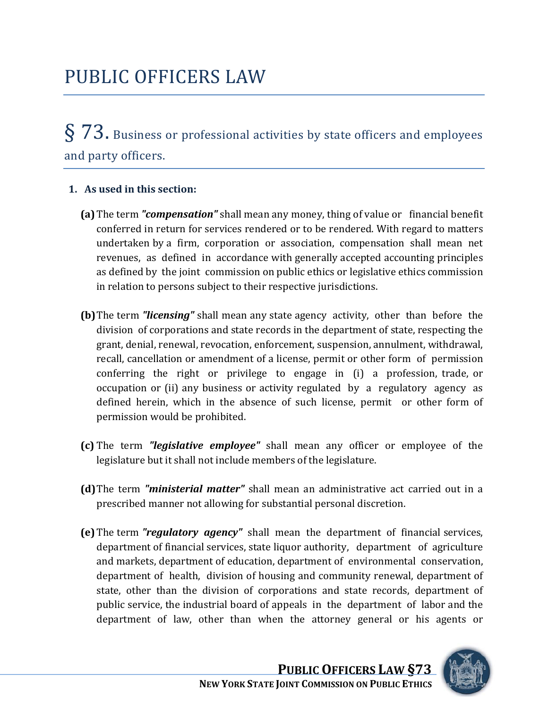# § 73. Business or professional activities by state officers and employees and party officers.

## **1. As used in this section:**

- **(a)**The term *"compensation"* shall mean any money, thing of value or financial benefit conferred in return for services rendered or to be rendered. With regard to matters undertaken by a firm, corporation or association, compensation shall mean net revenues, as defined in accordance with generally accepted accounting principles as defined by the joint commission on public ethics or legislative ethics commission in relation to persons subject to their respective jurisdictions.
- **(b)**The term *"licensing"* shall mean any state agency activity, other than before the division of corporations and state records in the department of state, respecting the grant, denial, renewal, revocation, enforcement, suspension, annulment, withdrawal, recall, cancellation or amendment of a license, permit or other form of permission conferring the right or privilege to engage in (i) a profession, trade, or occupation or (ii) any business or activity regulated by a regulatory agency as defined herein, which in the absence of such license, permit or other form of permission would be prohibited.
- (c) The term "legislative employee" shall mean any officer or employee of the legislature but it shall not include members of the legislature.
- (d) The term "*ministerial matter*" shall mean an administrative act carried out in a prescribed manner not allowing for substantial personal discretion.
- **(e)** The term *"regulatory agency"* shall mean the department of financial services, department of financial services, state liquor authority, department of agriculture and markets, department of education, department of environmental conservation, department of health, division of housing and community renewal, department of state, other than the division of corporations and state records, department of public service, the industrial board of appeals in the department of labor and the department of law, other than when the attorney general or his agents or

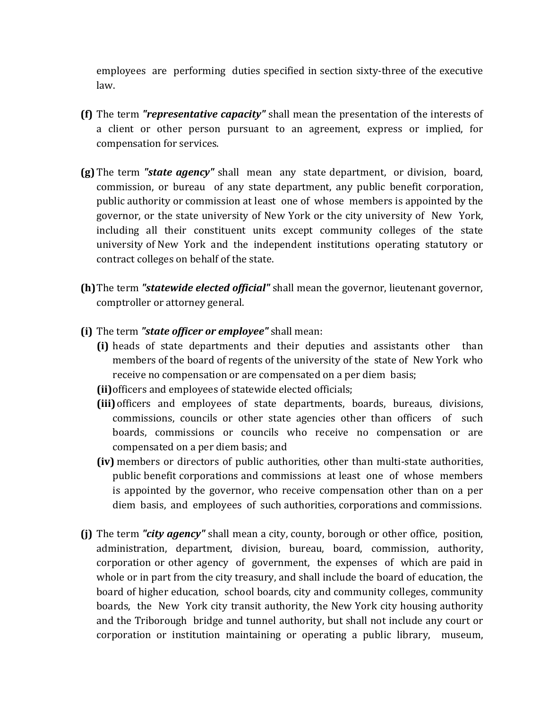employees are performing duties specified in section sixty‐three of the executive law.

- **(f)** The term *"representative capacity"* shall mean the presentation of the interests of a client or other person pursuant to an agreement, express or implied, for compensation for services.
- **(g)** The term *"state agency"* shall mean any state department, or division, board, commission, or bureau of any state department, any public benefit corporation, public authority or commission at least one of whose members is appointed by the governor, or the state university of New York or the city university of New York, including all their constituent units except community colleges of the state university of New York and the independent institutions operating statutory or contract colleges on behalf of the state.
- (h) The term "statewide elected official" shall mean the governor, lieutenant governor, comptroller or attorney general.
- **(i)** The term *"state officer or employee"* shall mean:
	- **(i)** heads of state departments and their deputies and assistants other than members of the board of regents of the university of the state of New York who r eceive no compensation or are compensated on a per diem basis;
	- **(ii)** officers and employees of statewide elected officials;
	- **(iii)**officers and employees of state departments, boards, bureaus, divisions, commissions, councils or other state agencies other than officers of such boards, commissions or councils who receive no compensation or are compensated on a per diem basis; and
	- **(iv)** members or directors of public authorities, other than multi‐state authorities, public benefit corporations and commissions at least one of whose members is appointed by the governor, who receive compensation other than on a per diem basis, and employees of such authorities, corporations and commissions.
- **(j)** The term *"city agency"* shall mean a city, county, borough or other office, position, administration, department, division, bureau, board, commission, authority, corporation or other agency of government, the expenses of which are paid in whole or in part from the city treasury, and shall include the board of education, the board of higher education, school boards, city and community colleges, community boards, the New York city transit authority, the New York city housing authority and the Triborough bridge and tunnel authority, but shall not include any court or corporation or institution maintaining or operating a public library, museum,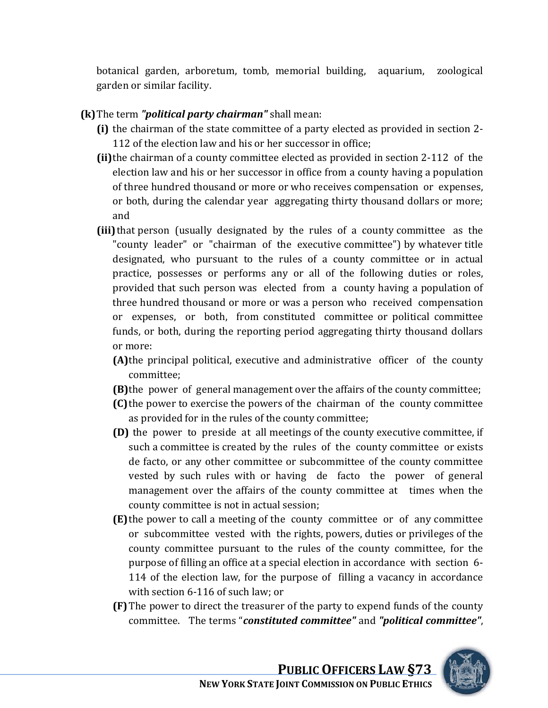botanical garden, arboretum, tomb, memorial building, aquarium, zoological garden or similar facility.

## **(k)**The term *"political party chairman"* shall mean:

- **(i)** the chairman of the state committee of a party elected as provided in section 2‐ 112 of the election law and his or her successor in office;
- **(ii)**the chairman of a county committee elected as provided in section 2‐112 of the election law and his or her successor in office from a county having a population of three hundred thousand or more or who receives compensation or expenses, or both, during the calendar year aggregating thirty thousand dollars or more; and
- **(iii)** that person (usually designated by the rules of a county committee as the "county leader" or "chairman of the executive committee") by whatever title designated, who pursuant to the rules of a county committee or in actual practice, possesses or performs any or all of the following duties or roles, provided that such person was elected from a county having a population of three hundred thousand or more or was a person who received compensation or expenses, or both, from constituted committee or political committee fund s, or both, during the reporting period aggregating thirty thousand dollars or m ore:
	- **(A)**the principal political, executive and administrative officer of the county committee;
	- **(B)** the power of general management over the affairs of the county committee;
	- **(C)** the power to exercise the powers of the chairman of the county committee as provided for in the rules of the county committee;
	- **(D)** the power to preside at all meetings of the county executive committee, if such a committee is created by the rules of the county committee or exists de facto, or any other committee or subcommittee of the county committee vested by such rules with or having de facto the power of general management over the affairs of the county committee at times when the county committee is not in actual session;
	- **(E)**the power to call a meeting of the county committee or of any committee or subcommittee vested with the rights, powers, duties or privileges of the county committee pursuant to the rules of the county committee, for the purpose of filling an office at a special election in accordance with section 6‐ 114 of the election law, for the purpose of filling a vacancy in accordance with section 6‐116 of such law; or
	- **(F)**The power to direct the treasurer of the party to expend funds of the county committee. The terms "*constituted committee"* and *"political committee"*,

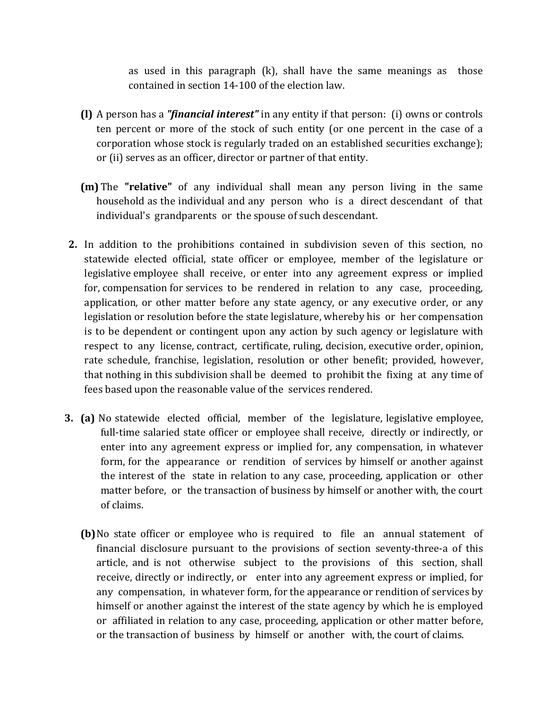as used in this paragraph  $(k)$ , shall have the same meanings as those contained in section 14‐100 of the election law.

- **(l)** A person has a *"financial interest"* in any entity if that person: (i) owns or controls ten percent or more of the stock of such entity (or one percent in the case of a orporation whose stock is regularly traded on an established securities exchange); c or (ii) serves as an officer, director or partner of that entity.
- **(m)** The **"relative"** of any individual shall mean any person living in the same household as the individual and any person who is a direct descendant of that individual's grandparents or the spouse of such descendant.
- **2.** In addition to the prohibitions contained in subdivision seven of this section, no statewide elected official, state officer or employee, member of the legislature or legislative employee shall receive, or enter into any agreement express or implied for, compensation for services to be rendered in relation to any case, proceeding, application, or other matter before any state agency, or any executive order, or any legislation or resolution before the state legislature, whereby his or her compensation is to be dependent or contingent upon any action by such agency or legislature with respect to any license, contract, certificate, ruling, decision, executive order, opinion, rate schedule, franchise, legislation, resolution or other benefit; provided, however, that nothing in this subdivision shall be deemed to prohibit the fixing at any time of fees based upon the reasonable value of the services rendered.
- **3. (a)** No statewide elected official, member of the legislature, legislative employee, full-time salaried state officer or employee shall receive, directly or indirectly, or enter into any agreement express or implied for, any compensation, in whatever form, for the appearance or rendition of services by himself or another against the interest of the state in relation to any case, proceeding, application or other matter before, or the transaction of business by himself or another with, the court of claims.
	- **(b)** No state officer or employee who is required to file an annual statement of financial disclosure pursuant to the provisions of section seventy-three-a of this article, and is not otherwise subject to the provisions of this section, shall receive, directly or indirectly, or enter into any agreement express or implied, for any compensation, in whatever form, for the appearance or rendition of services by himself or another against the interest of the state agency by which he is employed or affiliated in relation to any case, proceeding, application or other matter before, or the transaction of business by himself or another with, the court of claims.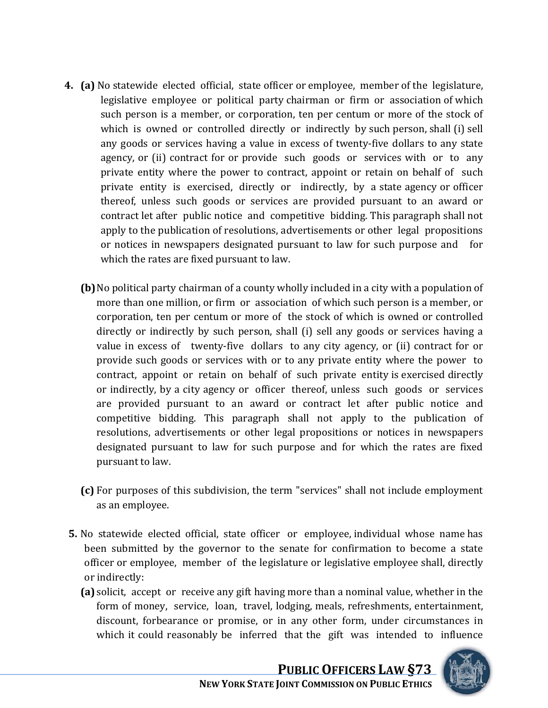- **4. (a)** No statewide elected official, state officer or employee, member of the legislature, legislative employee or political party chairman or firm or association of which such person is a member, or corporation, ten per centum or more of the stock of which is owned or controlled directly or indirectly by such person, shall (i) sell any goods or services having a value in excess of twenty‐five dollars to any state agency, or (ii) contract for or provide such goods or services with or to any private entity where the power to contract, appoint or retain on behalf of such private entity is exercised, directly or indirectly, by a state agency or officer thereof, unless such goods or services are provided pursuant to an award or contract let after public notice and competitive bidding. This paragraph shall not apply to the publication of resolutions, advertisements or other legal propositions or notices in newspapers designated pursuant to law for such purpose and for which the rates are fixed pursuant to law.
	- **(b)**No political party chairman of a county wholly included in a city with a population of more than one million, or firm or association of which such person is a member, or corporation, ten per centum or more of the stock of which is owned or controlled directly or indirectly by such person, shall (i) sell any goods or services having a value in excess of twenty-five dollars to any city agency, or (ii) contract for or provide such goods or services with or to any private entity where the power to contract, appoint or retain on behalf of such private entity is exercised directly or indirectly, by a city agency or officer thereof, unless such goods or services are provided pursuant to an award or contract let after public notice and competitive bidding. This paragraph shall not apply to the publication of resolutions, advertisements or other legal propositions or notices in newspapers designated pursuant to law for such purpose and for which the rates are fixed pursuant to law.
	- **(c)** For purposes of this subdivision, the term "services" shall not include employment as an employee.
- **5.** No statewide elected official, state officer or employee, individual whose name has been submitted by the governor to the senate for confirmation to become a state off icer or employee, member of the legislature or legislative employee shall, directly or indirectly:
	- **(a)** solicit, accept or receive any gift having more than a nominal value, whether in the form of money, service, loan, travel, lodging, meals, refreshments, entertainment, discount, forbearance or promise, or in any other form, under circumstances in which it could reasonably be inferred that the gift was intended to influence

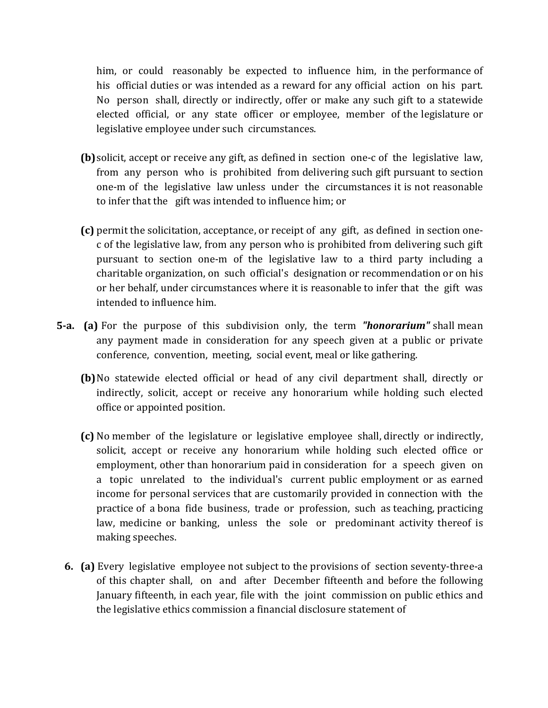him, or could reasonably be expected to influence him, in the performance of his official duties or was intended as a reward for any official action on his part. No person shall, directly or indirectly, offer or make any such gift to a statewide elected official, or any state officer or employee, member of the legislature or legislative employee under such circumstances.

- **(b)** solicit, accept or receive any gift, as defined in section one-c of the legislative law, from any person who is prohibited from delivering such gift pursuant to section one‐m of the legislative law unless under the circumstances it is not reasonable to infer that the gift was intended to influence him; or
- **(c)** permit the solicitation, acceptance, or receipt of any gift, as defined in section one‐ c of the legislative law, from any person who is prohibited from delivering such gift pursuant to section one‐m of the legislative law to a third party including a charitable organization, on such official's designation or recommendation or on his or her behalf, under circumstances where it is reasonable to infer that the gift was intended to influence him.
- **5a. (a)** For the purpose of this subdivision only, the term *"honorarium"* shall mean any payment made in consideration for any speech given at a public or private conference, convention, meeting, social event, meal or like gathering.
	- **(b)**No statewide elected official or head of any civil department shall, directly or indirectly, solicit, accept or receive any honorarium while holding such elected office or appointed position.
	- **(c)** No member of the legislature or legislative employee shall, directly or indirectly, solicit, accept or receive any honorarium while holding such elected office or employment, other than honorarium paid in consideration for a speech given on a topic unrelated to the individual's current public employment or as earned income for personal services that are customarily provided in connection with the practice of a bona fide business, trade or profession, such as teaching, practicing law, medicine or banking, unless the sole or predominant activity thereof is making speeches.
	- **6. (a)** Every legislative employee not subject to the provisions of section seventy‐three‐a of this chapter shall, on and after December fifteenth and before the following January fifteenth, in each year, file with the joint commission on public ethics and the legislative ethics commission a financial disclosure statement of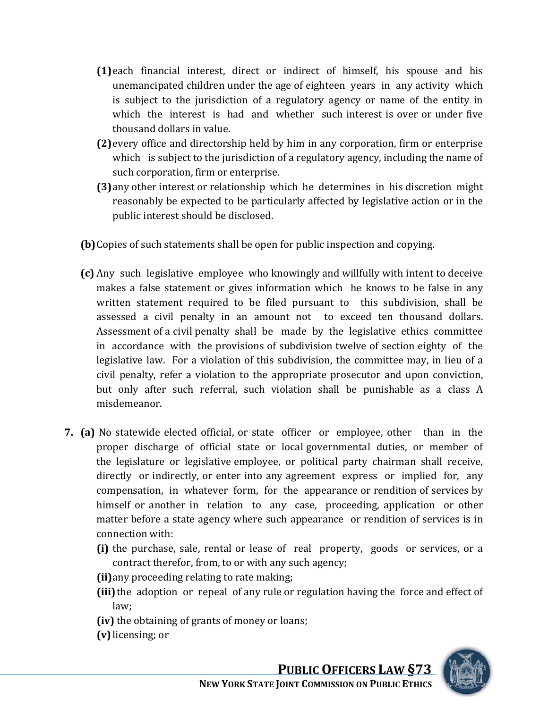- **(1)**each financial interest, direct or indirect of himself, his spouse and his unemancipated children under the age of eighteen years in any activity which is subject to the jurisdiction of a regulatory agency or name of the entity in which the interest is had and whether such interest is over or under five thousand dollars in value.
- **(2)**every office and directorship held by him in any corporation, firm or enterprise which is subject to the jurisdiction of a regulatory agency, including the name of such corporation, firm or enterprise.
- **(3)**any other interest or relationship which he determines in his discretion might reasonably be expected to be particularly affected by legislative action or in the public interest should be disclosed.
- **(b)**Copies of such statements shall be open for public inspection and copying.
- **(c)** Any such legislative employee who knowingly and willfully with intent to deceive makes a false statement or gives information which he knows to be false in any written statement required to be filed pursuant to this subdivision, shall be assessed a civil penalty in an amount not to exceed ten thousand dollars. Assessment of a civil penalty shall be made by the legislative ethics committee in accordance with the provisions of subdivision twelve of section eighty of the legislative law. For a violation of this subdivision, the committee may, in lieu of a civil penalty, refer a violation to the appropriate prosecutor and upon conviction, but only after such referral, such violation shall be punishable as a class A misdemeanor.
- **7.** (a) No statewide elected official, or state officer or employee, other than in the proper discharge of official state or local governmental duties, or member of the legislature or legislative employee, or political party chairman shall receive, directly or indirectly, or enter into any agreement express or implied for, any compensation, in whatever form, for the appearance or rendition of services by himself or another in relation to any case, proceeding, application or other matter before a state agency where such appearance or rendition of services is in con nection with:
	- **(i)** the purchase, sale, rental or lease of real property, goods or services, or a c ontract therefor, from, to or with any such agency;
	- **(ii)** any proceeding relating to rate making;
	- **(iii)** the adoption or repeal of any rule or regulation having the force and effect of law;
	- (iv) the obtaining of grants of money or loans;
	- **(v)** licensing; or

**PUBLIC OFFICERS LAW §73 NEW YORK STATE JOINT COMMISSION ON PUBLIC ETHICS**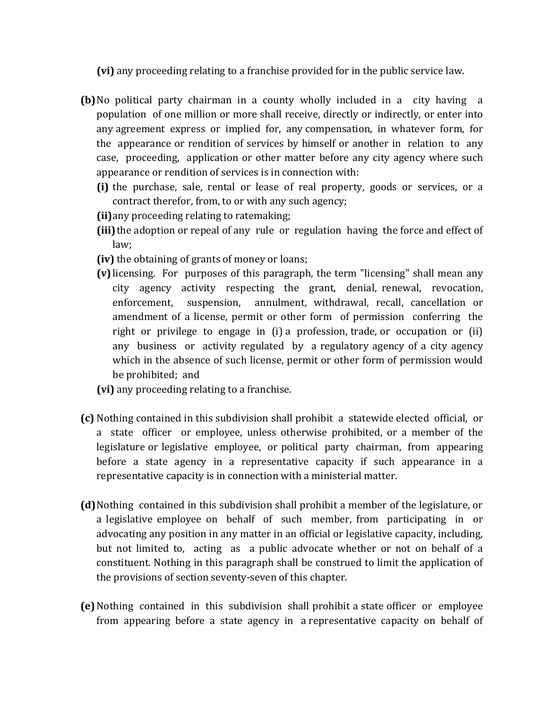**(vi)** any proceeding relating to a franchise provided for in the public service law.

- **(b)** No political party chairman in a county wholly included in a city having a population of one million or more shall receive, directly or indirectly, or enter into any agreement express or implied for, any compensation, in whatever form, for the appearance or rendition of services by himself or another in relation to any case, proceeding, application or other matter before any city agency where such app earance or rendition of services is in connection with:
	- **(i)** the purchase, sale, rental or lease of real property, goods or services, or a c ontract therefor, from, to or with any such agency;
	- **(ii)** any proceeding relating to ratemaking;
	- (iii) the adoption or repeal of any rule or regulation having the force and effect of l aw;
	- **(iv)** the obtaining of grants of money or loans;
	- **(v)** licensing. For purposes of this paragraph, the term "licensing" shall mean any city agency activity respecting the grant, denial, renewal, revocation, enforcement, suspension, annulment, withdrawal, recall, cancellation or amendment of a license, permit or other form of permission conferring the right or privilege to engage in (i) a profession, trade, or occupation or (ii) any business or activity regulated by a regulatory agency of a city agency which in the absence of such license, permit or other form of permission would be prohibited; and
	- **(vi)** any proceeding relating to a franchise.
- **(c)** Nothing contained in this subdivision shall prohibit a statewide elected official, or a state officer or employee, unless otherwise prohibited, or a member of the legislature or legislative employee, or political party chairman, from appearing before a state agency in a representative capacity if such appearance in a representative capacity is in connection with a ministerial matter.
- **(d)**Nothing contained in this subdivision shall prohibit a member of the legislature, or a legislative employee on behalf of such member, from participating in or advocating any position in any matter in an official or legislative capacity, including, but not limited to, acting as a public advocate whether or not on behalf of a constituent. Nothing in this paragraph shall be construed to limit the application of the provisions of section seventy‐seven of this chapter.
- **(e)**Nothing contained in this subdivision shall prohibit a state officer or employee from appearing before a state agency in a representative capacity on behalf of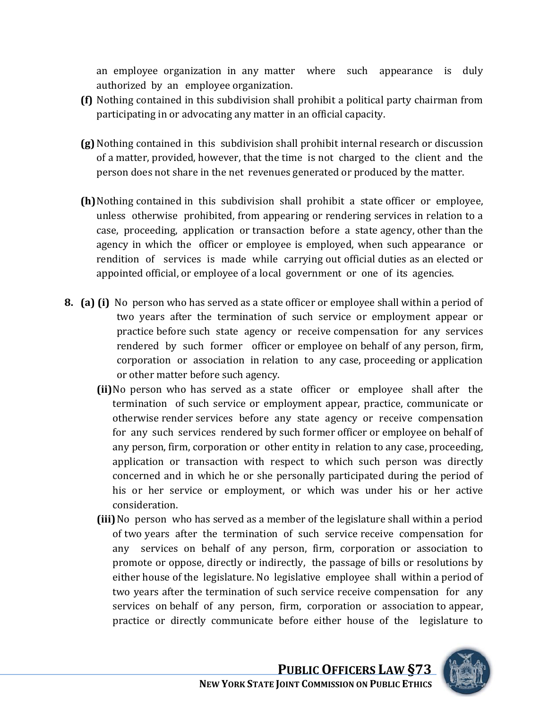an employee organization in any matter where such appearance is duly authorized by an employee organization.

- **(f)** Nothing contained in this subdivision shall prohibit a political party chairman from participating in or advocating any matter in an official capacity.
- **(g)**Nothing contained in this subdivision shall prohibit internal research or discussion of a matter, provided, however, that the time is not charged to the client and the person does not share in the net revenues generated or produced by the matter.
- **(h)**Nothing contained in this subdivision shall prohibit a state officer or employee, unless otherwise prohibited, from appearing or rendering services in relation to a case, proceeding, application or transaction before a state agency, other than the agency in which the officer or employee is employed, when such appearance or rendition of services is made while carrying out official duties as an elected or appointed official, or employee of a local government or one of its agencies.
- **8. (a) (i)** No person who has served as a state officer or employee shall within a period of two years after the termination of such service or employment appear or practice before such state agency or receive compensation for any services rendered by such former officer or employee on behalf of any person, firm, corporation or association in relation to any case, proceeding or application or other matter before such agency.
	- **(ii)**No person who has served as a state officer or employee shall after the termination of such service or employment appear, practice, communicate or otherwise render services before any state agency or receive compensation for any such services rendered by such former officer or employee on behalf of any person, firm, corporation or other entity in relation to any case, proceeding, application or transaction with respect to which such person was directly concerned and in which he or she personally participated during the period of his or her service or employment, or which was under his or her active consideration.
	- **(iii)**No person who has served as a member of the legislature shall within a period of two years after the termination of such service receive compensation for any services on behalf of any person, firm, corporation or association to promote or oppose, directly or indirectly, the passage of bills or resolutions by either house of the legislature. No legislative employee shall within a period of two years after the termination of such service receive compensation for any services on behalf of any person, firm, corporation or association to appear, practice or directly communicate before either house of the legislature to

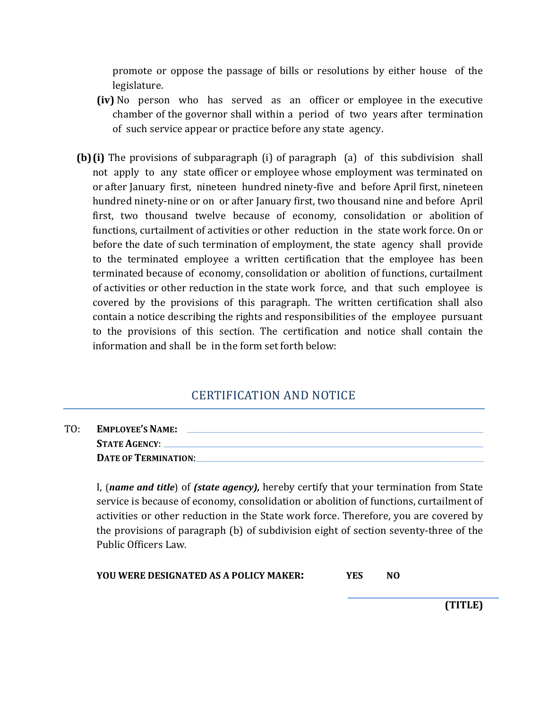promote or oppose the passage of bills or resolutions by either house of the legislature.

- **(iv)** No person who has served as an officer or employee in the executive chamber of the governor shall within a period of two years after termination of such service appear or practice before any state agency.
- **(b)** (i) The provisions of subparagraph (i) of paragraph (a) of this subdivision shall not apply to any state officer or employee whose employment was terminated on or after January first, nineteen hundred ninety‐five and before April first, nineteen hundred ninety‐nine or on or after January first, two thousand nine and before April first, two thousand twelve because of economy, consolidation or abolition of functions, curtailment of activities or other reduction in the state work force. On or before the date of such termination of employment, the state agency shall provide to the terminated employee a written certification that the employee has been terminated because of economy, consolidation or abolition of functions, curtailment of activities or other reduction in the state work force, and that such employee is covered by the provisions of this paragraph. The written certification shall also contain a notice describing the rights and responsibilities of the employee pursuant to the provisions of this section. The certification and notice shall contain the information and shall be in the form set forth below:

## CERTIFICATION AND NOTICE

| TO: | <b>EMPLOYEE'S NAME:</b>     |
|-----|-----------------------------|
|     | <b>STATE AGENCY:</b>        |
|     | <b>DATE OF TERMINATION:</b> |

I, (*name and title*) of *(state agency),* hereby certify that your termination from State service is because of economy, consolidation or abolition of functions, curtailment of activities or other reduction in the State work force. Therefore, you are covered by the provisions of paragraph (b) of subdivision eight of section seventy-three of the Public Officers Law.

**YOU WERE DESIGNATED AS A POLICY MAKER: YES NO**

**(TITLE)**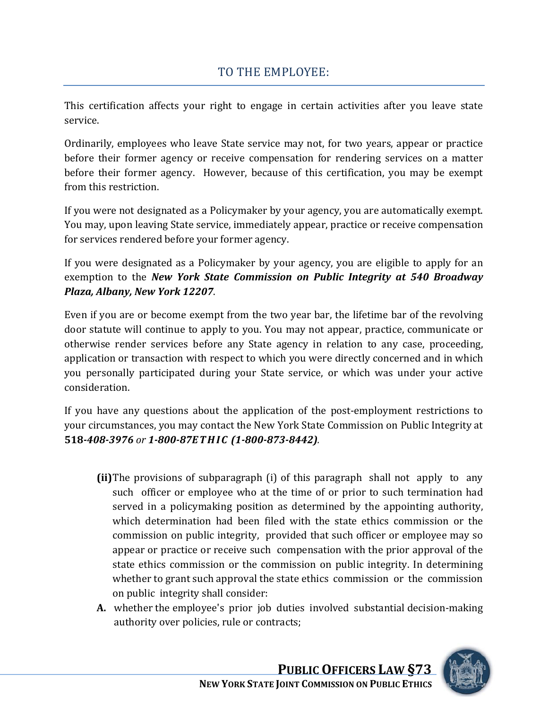# TO THE EMPLOYEE:

This certification affects your right to engage in certain activities after you leave state service.

Ordinarily, employees who leave State service may not, for two years, appear or practice before their former agency or receive compensation for rendering services on a matter before their former agency. However, because of this certification, you may be exempt from this restriction.

If you were not designated as a Policymaker by your agency, you are automatically exempt. You may, upon leaving State service, immediately appear, practice or receive compensation for services rendered before your former agency.

If you were designated as a Policymaker by your agency, you are eligible to apply for an exemption to the *New York State Commission on Public Integrity at 540 Broadway Plaza, Albany, New York 12207*.

Even if you are or become exempt from the two year bar, the lifetime bar of the revolving door statute will continue to apply to you. You may not appear, practice, communicate or otherwise render services before any State agency in relation to any case, proceeding, application or transaction with respect to which you were directly concerned and in which you personally participated during your State service, or which was under your active consideration.

If you have any questions about the application of the post-employment restrictions to your circumstances, you may contact the New York State Commission on Public Integrity at **518***4083976 or 180087E TH I C (18008738442).*

- **(ii)**The provisions of subparagraph (i) of this paragraph shall not apply to any such officer or employee who at the time of or prior to such termination had served in a policymaking position as determined by the appointing authority, which determination had been filed with the state ethics commission or the commission on public integrity, provided that such officer or employee may so appear or practice or receive such compensation with the prior approval of the state ethics commission or the commission on public integrity. In determining whether to grant such approval the state ethics commission or the commission on public integrity shall consider:
- **A.** whether the employee's prior job duties involved substantial decision‐making authority over policies, rule or contracts;

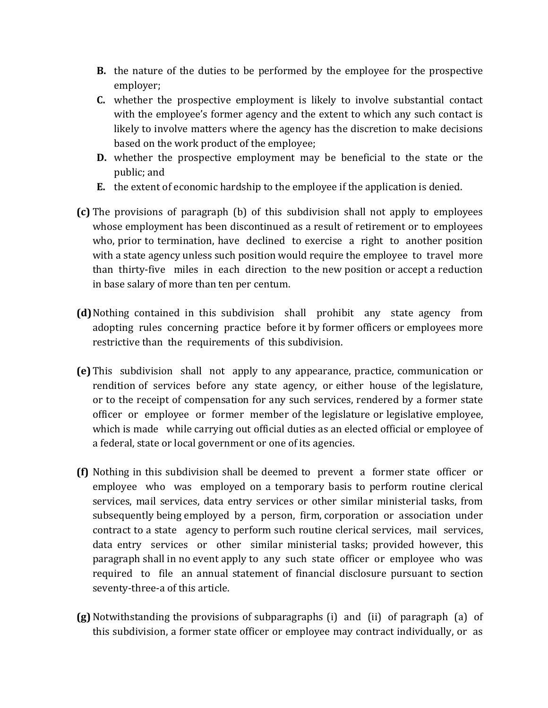- **B.** the nature of the duties to be performed by the employee for the prospective employer;
- **C.** whether the prospective employment is likely to involve substantial contact with the employee's former agency and the extent to which any such contact is likely to involve matters where the agency has the discretion to make decisions based on the work product of the employee;
- **D.** whether the prospective employment may be beneficial to the state or the public; and
- **E.** the extent of economic hardship to the employee if the application is denied.
- **(c)** The provisions of paragraph (b) of this subdivision shall not apply to employees whose employment has been discontinued as a result of retirement or to employees who, prior to termination, have declined to exercise a right to another position with a state agency unless such position would require the employee to travel more than thirty-five miles in each direction to the new position or accept a reduction in base salary of more than ten per centum.
- **(d)** Nothing contained in this subdivision shall prohibit any state agency from adopting rules concerning practice before it by former officers or employees more restrictive than the requirements of this subdivision.
- **(e)** This subdivision shall not apply to any appearance, practice, communication or rendition of services before any state agency, or either house of the legislature, or to the receipt of compensation for any such services, rendered by a former state officer or employee or former member of the legislature or legislative employee, which is made while carrying out official duties as an elected official or employee of a federal, state or local government or one of its agencies.
- **(f)** Nothing in this subdivision shall be deemed to prevent a former state officer or employee who was employed on a temporary basis to perform routine clerical services, mail services, data entry services or other similar ministerial tasks, from subsequently being employed by a person, firm, corporation or association under contract to a state agency to perform such routine clerical services, mail services, data entry services or other similar ministerial tasks; provided however, this paragraph shall in no event apply to any such state officer or employee who was required to file an annual statement of financial disclosure pursuant to section seventy-three-a of this article.
- **(g)**Notwithstanding the provisions of subparagraphs (i) and (ii) of paragraph (a) of this subdivision, a former state officer or employee may contract individually, or as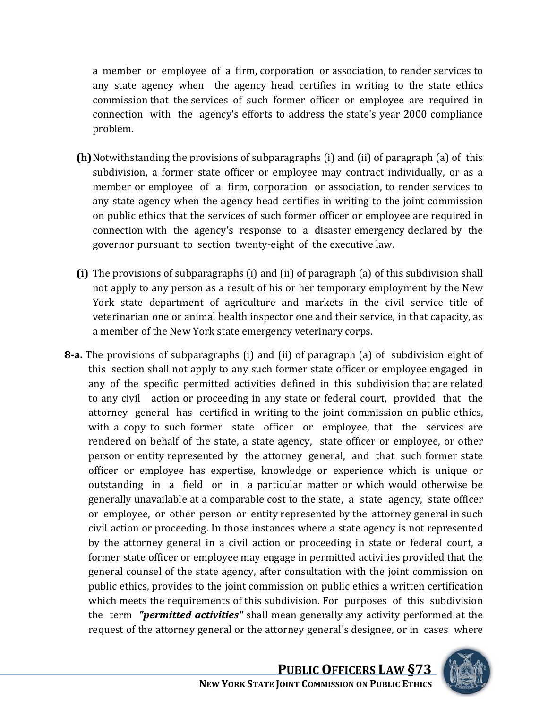a member or employee of a firm, corporation or association, to render services to any state agency when the agency head certifies in writing to the state ethics commission that the services of such former officer or employee are required in connection with the agency's efforts to address the state's year 2000 compliance problem.

- **(h)**Notwithstanding the provisions of subparagraphs (i) and (ii) of paragraph (a) of this subdivision, a former state officer or employee may contract individually, or as a member or employee of a firm, corporation or association, to render services to any state agency when the agency head certifies in writing to the joint commission on public ethics that the services of such former officer or employee are required in connection with the agency's response to a disaster emergency declared by the governor pursuant to section twenty‐eight of the executive law.
- **(i)** The provisions of subparagraphs (i) and (ii) of paragraph (a) of this subdivision shall not apply to any person as a result of his or her temporary employment by the New York state department of agriculture and markets in the civil service title of veterinarian one or animal health inspector one and their service, in that capacity, as a member of the New York state emergency veterinary corps.
- **8a.** The provisions of subparagraphs (i) and (ii) of paragraph (a) of subdivision eight of this section shall not apply to any such former state officer or employee engaged in any of the specific permitted activities defined in this subdivision that are related to any civil action or proceeding in any state or federal court, provided that the attorney general has certified in writing to the joint commission on public ethics, with a copy to such former state officer or employee, that the services are rendered on behalf of the state, a state agency, state officer or employee, or other person or entity represented by the attorney general, and that such former state officer or employee has expertise, knowledge or experience which is unique or outstanding in a field or in a particular matter or which would otherwise be generally unavailable at a comparable cost to the state, a state agency, state officer or employee, or other person or entity represented by the attorney general in such civil action or proceeding. In those instances where a state agency is not represented by the attorney general in a civil action or proceeding in state or federal court, a former state officer or employee may engage in permitted activities provided that the general counsel of the state agency, after consultation with the joint commission on public ethics, provides to the joint commission on public ethics a written certification which meets the requirements of this subdivision. For purposes of this subdivision the term *"permitted activities"* shall mean generally any activity performed at the request of the attorney general or the attorney general's designee, or in cases where

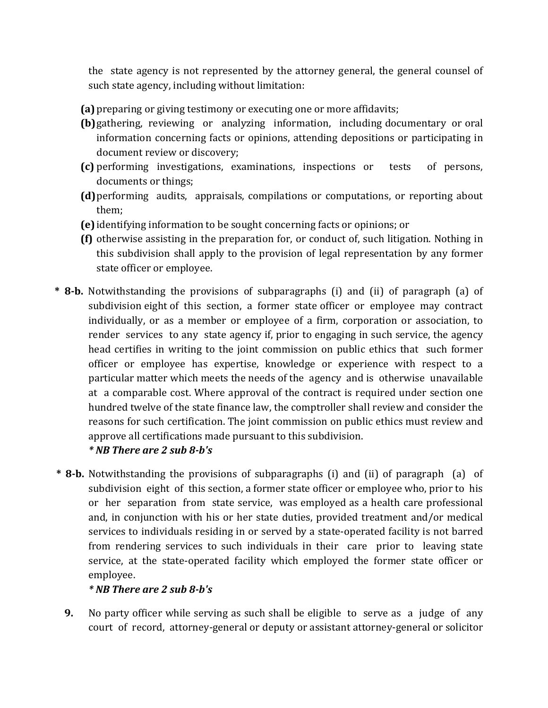the state agency is not represented by the attorney general, the general counsel of such state agency, including without limitation:

- **(a)** preparing or giving testimony or executing one or more affidavits;
- **(b)**gathering, reviewing or analyzing information, including documentary or oral information concerning facts or opinions, attending depositions or participating in document review or discovery;
- **(c)** performing investigations, examinations, inspections or tests of persons, documents or things;
- **(d)**performing audits, appraisals, compilations or computations, or reporting about them;
- **(e)** identifying information to be sought concerning facts or opinions; or
- **(f)** otherwise assisting in the preparation for, or conduct of, such litigation. Nothing in this subdivision shall apply to the provision of legal representation by any former state officer or employee.
- **\* 8b.** Notwithstanding the provisions of subparagraphs (i) and (ii) of paragraph (a) of subdivision eight of this section, a former state officer or employee may contract individually, or as a member or employee of a firm, corporation or association, to render services to any state agency if, prior to engaging in such service, the agency head certifies in writing to the joint commission on public ethics that such former officer or employee has expertise, knowledge or experience with respect to a particular matter which meets the needs of the agency and is otherwise unavailable at a comparable cost. Where approval of the contract is required under section one hundred twelve of the state finance law, the comptroller shall review and consider the reasons for such certification. The joint commission on public ethics must review and approve all certifications made pursuant to this subdivision.

#### *\* NB There are 2 sub 8b's*

**\* 8b.** Notwithstanding the provisions of subparagraphs (i) and (ii) of paragraph (a) of subdivision eight of this section, a former state officer or employee who, prior to his or her separation from state service, was employed as a health care professional and, in conjunction with his or her state duties, provided treatment and/or medical services to individuals residing in or served by a state‐operated facility is not barred from rendering services to such individuals in their care prior to leaving state service, at the state-operated facility which employed the former state officer or employee.

#### *\* NB There are 2 sub 8b's*

**9.** No party officer while serving as such shall be eligible to serve as a judge of any court of record, attorney‐general or deputy or assistant attorney‐general or solicitor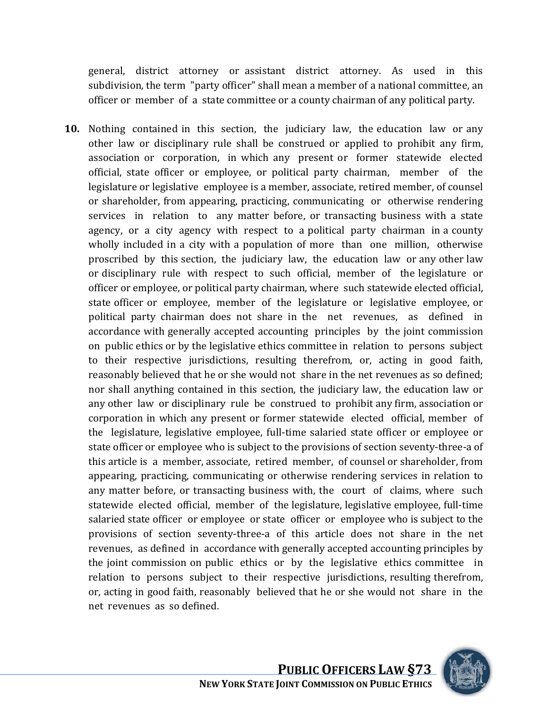general, district attorney or assistant district attorney. As used in this subdivision, the term "party officer" shall mean a member of a national committee, an officer or member of a state committee or a county chairman of any political party.

**10.** Nothing contained in this section, the judiciary law, the education law or any other law or disciplinary rule shall be construed or applied to prohibit any firm, association or corporation, in which any present or former statewide elected official, state officer or employee, or political party chairman, member of the legislature or legislative employee is a member, associate, retired member, of counsel or shareholder, from appearing, practicing, communicating or otherwise rendering services in relation to any matter before, or transacting business with a state agency, or a city agency with respect to a political party chairman in a county wholly included in a city with a population of more than one million, otherwise proscribed by this section, the judiciary law, the education law or any other law or disciplinary rule with respect to such official, member of the legislature or officer or employee, or political party chairman, where such statewide elected official, state officer or employee, member of the legislature or legislative employee, or political party chairman does not share in the net revenues, as defined in accordance with generally accepted accounting principles by the joint commission on public ethics or by the legislative ethics committee in relation to persons subject to their respective jurisdictions, resulting therefrom, or, acting in good faith, reasonably believed that he or she would not share in the net revenues as so defined; nor shall anything contained in this section, the judiciary law, the education law or any other law or disciplinary rule be construed to prohibit any firm, association or corporation in which any present or former statewide elected official, member of the legislature, legislative employee, full-time salaried state officer or employee or state officer or employee who is subject to the provisions of section seventy‐three‐a of this article is a member, associate, retired member, of counsel or shareholder, from appearing, practicing, communicating or otherwise rendering services in relation to any matter before, or transacting business with, the court of claims, where such statewide elected official, member of the legislature, legislative employee, full-time salaried state officer or employee or state officer or employee who is subject to the provisions of section seventy‐three‐a of this article does not share in the net revenues, as defined in accordance with generally accepted accounting principles by the joint commission on public ethics or by the legislative ethics committee in relation to persons subject to their respective jurisdictions, resulting therefrom, or, acting in good faith, reasonably believed that he or she would not share in the net revenues as so defined.

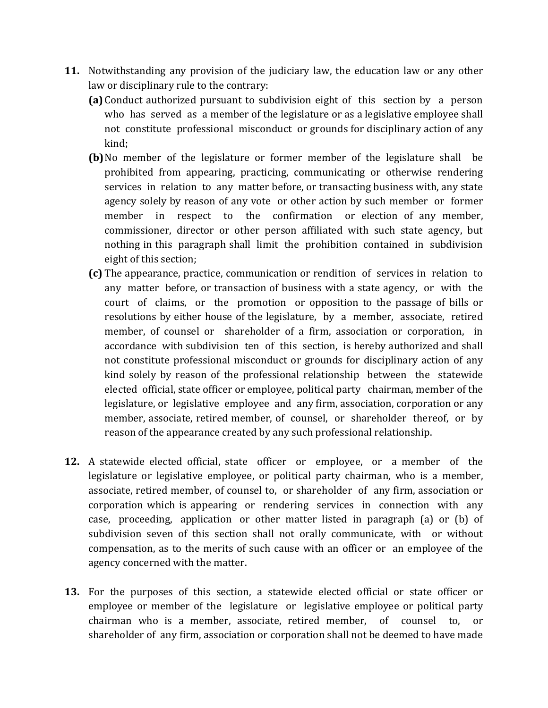- 11. Notwithstanding any provision of the judiciary law, the education law or any other law or disciplinary rule to the contrary:
	- **(a)** Conduct authorized pursuant to subdivision eight of this section by a person who has served as a member of the legislature or as a legislative employee shall not constitute professional misconduct or grounds for disciplinary action of any kind;
	- **(b)**No member of the legislature or former member of the legislature shall be prohibited from appearing, practicing, communicating or otherwise rendering services in relation to any matter before, or transacting business with, any state agency solely by reason of any vote or other action by such member or former member in respect to the confirmation or election of any member, commissioner, director or other person affiliated with such state agency, but nothing in this paragraph shall limit the prohibition contained in subdivision eight of this section;
	- **(c)** The appearance, practice, communication or rendition of services in relation to any matter before, or transaction of business with a state agency, or with the court of claims, or the promotion or opposition to the passage of bills or resolutions by either house of the legislature, by a member, associate, retired member, of counsel or shareholder of a firm, association or corporation, in accordance with subdivision ten of this section, is hereby authorized and shall not constitute professional misconduct or grounds for disciplinary action of any kind solely by reason of the professional relationship between the statewide elected official, state officer or employee, political party chairman, member of the legislature, or legislative employee and any firm, association, corporation or any member, associate, retired member, of counsel, or shareholder thereof, or by reason of the appearance created by any such professional relationship.
- **12.** A statewide elected official, state officer or employee, or a member of the legislature or legislative employee, or political party chairman, who is a member, associate, retired member, of counsel to, or shareholder of any firm, association or corporation which is appearing or rendering services in connection with any case, proceeding, application or other matter listed in paragraph (a) or (b) of subdivision seven of this section shall not orally communicate, with or without compensation, as to the merits of such cause with an officer or an employee of the agency concerned with the matter.
- **13.** For the purposes of this section, a statewide elected official or state officer or employee or member of the legislature or legislative employee or political party chairman who is a member, associate, retired member, of counsel to, or shareholder of any firm, association or corporation shall not be deemed to have made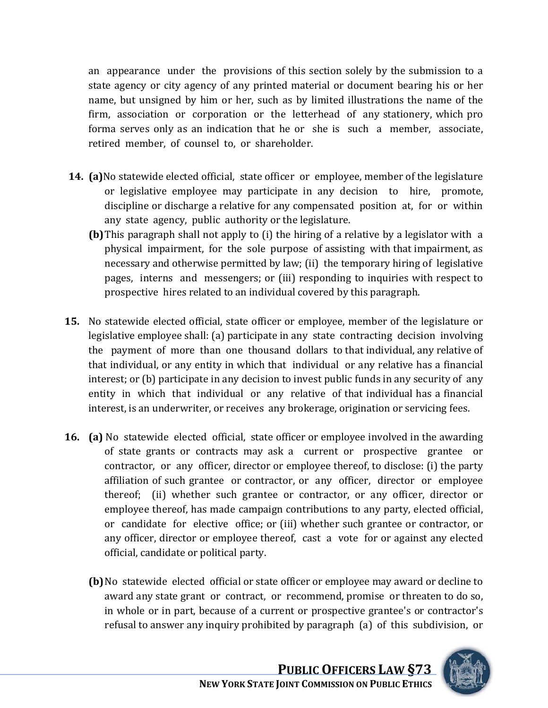an appearance under the provisions of this section solely by the submission to a state agency or city agency of any printed material or document bearing his or her name, but unsigned by him or her, such as by limited illustrations the name of the firm, association or corporation or the letterhead of any stationery, which pro forma serves only as an indication that he or she is such a member, associate, retired member, of counsel to, or shareholder.

- **14. (a)**No statewide elected official, state officer or employee, member of the legislature or legislative employee may participate in any decision to hire, promote, discipline or discharge a relative for any compensated position at, for or within any state agency, public authority or the legislature.
	- **(b)**This paragraph shall not apply to (i) the hiring of a relative by a legislator with a physical impairment, for the sole purpose of assisting with that impairment, as necessary and otherwise permitted by law; (ii) the temporary hiring of legislative pages, interns and messengers; or (iii) responding to inquiries with respect to prospective hires related to an individual covered by this paragraph.
- **15.** No statewide elected official, state officer or employee, member of the legislature or legislative employee shall: (a) participate in any state contracting decision involving the payment of more than one thousand dollars to that individual, any relative of that individual, or any entity in which that individual or any relative has a financial interest; or (b) participate in any decision to invest public funds in any security of any entity in which that individual or any relative of that individual has a financial interest, is an underwriter, or receives any brokerage, origination or servicing fees.
- **16. (a)** No statewide elected official, state officer or employee involved in the awarding of state grants or contracts may ask a current or prospective grantee or contractor, or any officer, director or employee thereof, to disclose: (i) the party affiliation of such grantee or contractor, or any officer, director or employee thereof; (ii) whether such grantee or contractor, or any officer, director or employee thereof, has made campaign contributions to any party, elected official, or candidate for elective office; or (iii) whether such grantee or contractor, or any officer, director or employee thereof, cast a vote for or against any elected official, candidate or political party.
	- **(b)**No statewide elected official or state officer or employee may award or decline to award any state grant or contract, or recommend, promise or threaten to do so, in whole or in part, because of a current or prospective grantee's or contractor's refusal to answer any inquiry prohibited by paragraph (a) of this subdivision, or